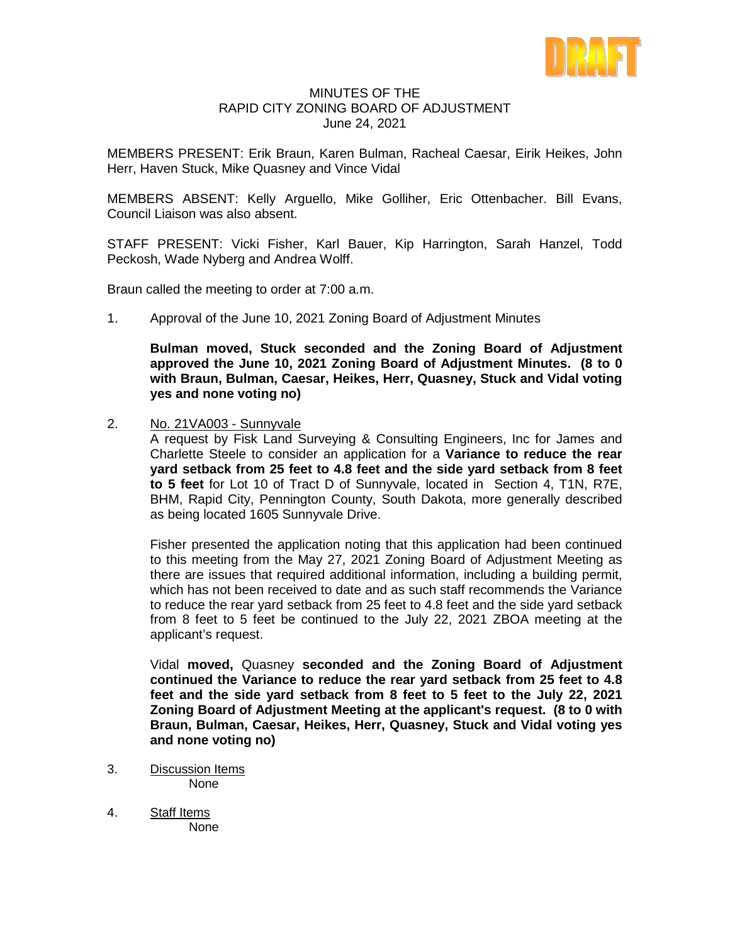

## MINUTES OF THE RAPID CITY ZONING BOARD OF ADJUSTMENT June 24, 2021

MEMBERS PRESENT: Erik Braun, Karen Bulman, Racheal Caesar, Eirik Heikes, John Herr, Haven Stuck, Mike Quasney and Vince Vidal

MEMBERS ABSENT: Kelly Arguello, Mike Golliher, Eric Ottenbacher. Bill Evans, Council Liaison was also absent.

STAFF PRESENT: Vicki Fisher, Karl Bauer, Kip Harrington, Sarah Hanzel, Todd Peckosh, Wade Nyberg and Andrea Wolff.

Braun called the meeting to order at 7:00 a.m.

1. Approval of the June 10, 2021 Zoning Board of Adjustment Minutes

**Bulman moved, Stuck seconded and the Zoning Board of Adjustment approved the June 10, 2021 Zoning Board of Adjustment Minutes. (8 to 0 with Braun, Bulman, Caesar, Heikes, Herr, Quasney, Stuck and Vidal voting yes and none voting no)**

2. No. 21VA003 - Sunnyvale

A request by Fisk Land Surveying & Consulting Engineers, Inc for James and Charlette Steele to consider an application for a **Variance to reduce the rear yard setback from 25 feet to 4.8 feet and the side yard setback from 8 feet to 5 feet** for Lot 10 of Tract D of Sunnyvale, located in Section 4, T1N, R7E, BHM, Rapid City, Pennington County, South Dakota, more generally described as being located 1605 Sunnyvale Drive.

Fisher presented the application noting that this application had been continued to this meeting from the May 27, 2021 Zoning Board of Adjustment Meeting as there are issues that required additional information, including a building permit, which has not been received to date and as such staff recommends the Variance to reduce the rear yard setback from 25 feet to 4.8 feet and the side yard setback from 8 feet to 5 feet be continued to the July 22, 2021 ZBOA meeting at the applicant's request.

Vidal **moved,** Quasney **seconded and the Zoning Board of Adjustment continued the Variance to reduce the rear yard setback from 25 feet to 4.8 feet and the side yard setback from 8 feet to 5 feet to the July 22, 2021 Zoning Board of Adjustment Meeting at the applicant's request. (8 to 0 with Braun, Bulman, Caesar, Heikes, Herr, Quasney, Stuck and Vidal voting yes and none voting no)**

- 3. Discussion Items None
- 4. Staff Items None